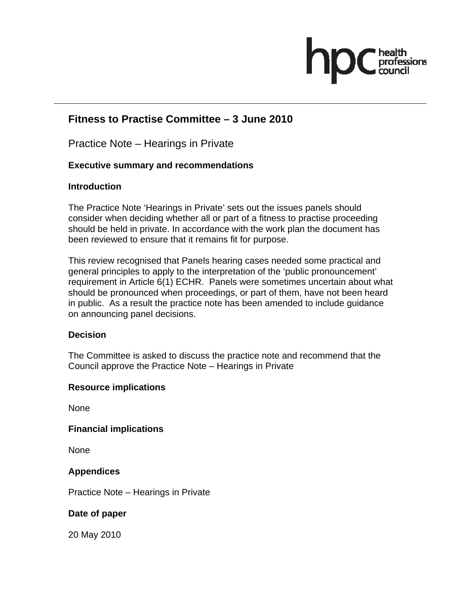

# **Fitness to Practise Committee – 3 June 2010**

Practice Note – Hearings in Private

# **Executive summary and recommendations**

# **Introduction**

The Practice Note 'Hearings in Private' sets out the issues panels should consider when deciding whether all or part of a fitness to practise proceeding should be held in private. In accordance with the work plan the document has been reviewed to ensure that it remains fit for purpose.

This review recognised that Panels hearing cases needed some practical and general principles to apply to the interpretation of the 'public pronouncement' requirement in Article 6(1) ECHR. Panels were sometimes uncertain about what should be pronounced when proceedings, or part of them, have not been heard in public. As a result the practice note has been amended to include guidance on announcing panel decisions.

# **Decision**

The Committee is asked to discuss the practice note and recommend that the Council approve the Practice Note – Hearings in Private

# **Resource implications**

None

**Financial implications** 

None

# **Appendices**

Practice Note – Hearings in Private

# **Date of paper**

20 May 2010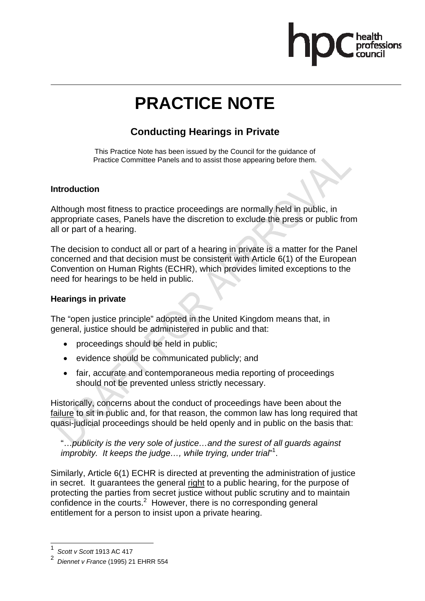# **PRACTICE NOTE**

# **Conducting Hearings in Private**

This Practice Note has been issued by the Council for the guidance of Practice Committee Panels and to assist those appearing before them.

# **Introduction**

Although most fitness to practice proceedings are normally held in public, in appropriate cases, Panels have the discretion to exclude the press or public from all or part of a hearing.

The decision to conduct all or part of a hearing in private is a matter for the Panel concerned and that decision must be consistent with Article 6(1) of the European Convention on Human Rights (ECHR), which provides limited exceptions to the need for hearings to be held in public.

# **Hearings in private**

The "open justice principle" adopted in the United Kingdom means that, in general, justice should be administered in public and that:

- proceedings should be held in public;
- evidence should be communicated publicly; and
- fair, accurate and contemporaneous media reporting of proceedings should not be prevented unless strictly necessary.

Historically, concerns about the conduct of proceedings have been about the failure to sit in public and, for that reason, the common law has long required that quasi-judicial proceedings should be held openly and in public on the basis that:

"…*publicity is the very sole of justice…and the surest of all guards against improbity. It keeps the judge…, while trying, under trial*" 1 .

Similarly, Article 6(1) ECHR is directed at preventing the administration of justice in secret. It guarantees the general right to a public hearing, for the purpose of protecting the parties from secret justice without public scrutiny and to maintain confidence in the courts. $2$  However, there is no corresponding general entitlement for a person to insist upon a private hearing.

 $\overline{a}$ 

<sup>1</sup> *Scott v Scott* 1913 AC 417

<sup>2</sup> *Diennet v France* (1995) 21 EHRR 554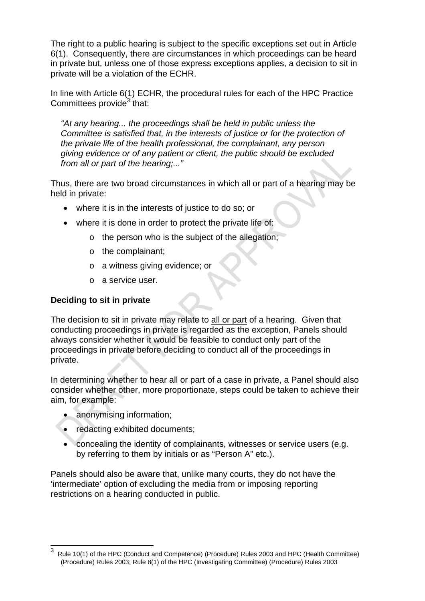The right to a public hearing is subject to the specific exceptions set out in Article 6(1). Consequently, there are circumstances in which proceedings can be heard in private but, unless one of those express exceptions applies, a decision to sit in private will be a violation of the ECHR.

In line with Article 6(1) ECHR, the procedural rules for each of the HPC Practice Committees provide $3$  that:

*"At any hearing... the proceedings shall be held in public unless the Committee is satisfied that, in the interests of justice or for the protection of the private life of the health professional, the complainant, any person giving evidence or of any patient or client, the public should be excluded from all or part of the hearing;..."* 

Thus, there are two broad circumstances in which all or part of a hearing may be held in private:

- where it is in the interests of justice to do so; or
- where it is done in order to protect the private life of:
	- o the person who is the subject of the allegation;
	- o the complainant;
	- o a witness giving evidence; or
	- o a service user.

# **Deciding to sit in private**

The decision to sit in private may relate to all or part of a hearing. Given that conducting proceedings in private is regarded as the exception, Panels should always consider whether it would be feasible to conduct only part of the proceedings in private before deciding to conduct all of the proceedings in private.

In determining whether to hear all or part of a case in private, a Panel should also consider whether other, more proportionate, steps could be taken to achieve their aim, for example:

• anonymising information;

 $\overline{a}$ 

- redacting exhibited documents;
- concealing the identity of complainants, witnesses or service users (e.g. by referring to them by initials or as "Person A" etc.).

Panels should also be aware that, unlike many courts, they do not have the 'intermediate' option of excluding the media from or imposing reporting restrictions on a hearing conducted in public.

<sup>3</sup> Rule 10(1) of the HPC (Conduct and Competence) (Procedure) Rules 2003 and HPC (Health Committee) (Procedure) Rules 2003; Rule 8(1) of the HPC (Investigating Committee) (Procedure) Rules 2003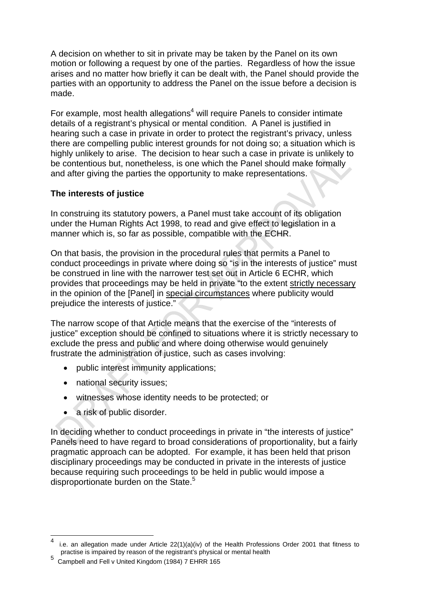A decision on whether to sit in private may be taken by the Panel on its own motion or following a request by one of the parties. Regardless of how the issue arises and no matter how briefly it can be dealt with, the Panel should provide the parties with an opportunity to address the Panel on the issue before a decision is made.

For example, most health allegations<sup>4</sup> will require Panels to consider intimate details of a registrant's physical or mental condition. A Panel is justified in hearing such a case in private in order to protect the registrant's privacy, unless there are compelling public interest grounds for not doing so; a situation which is highly unlikely to arise. The decision to hear such a case in private is unlikely to be contentious but, nonetheless, is one which the Panel should make formally and after giving the parties the opportunity to make representations.

# **The interests of justice**

In construing its statutory powers, a Panel must take account of its obligation under the Human Rights Act 1998, to read and give effect to legislation in a manner which is, so far as possible, compatible with the ECHR.

On that basis, the provision in the procedural rules that permits a Panel to conduct proceedings in private where doing so "is in the interests of justice" must be construed in line with the narrower test set out in Article 6 ECHR, which provides that proceedings may be held in private "to the extent strictly necessary in the opinion of the [Panel] in special circumstances where publicity would prejudice the interests of justice."

The narrow scope of that Article means that the exercise of the "interests of justice" exception should be confined to situations where it is strictly necessary to exclude the press and public and where doing otherwise would genuinely frustrate the administration of justice, such as cases involving:

- public interest immunity applications;
- national security issues;
- witnesses whose identity needs to be protected; or
- a risk of public disorder.

l

In deciding whether to conduct proceedings in private in "the interests of justice" Panels need to have regard to broad considerations of proportionality, but a fairly pragmatic approach can be adopted. For example, it has been held that prison disciplinary proceedings may be conducted in private in the interests of justice because requiring such proceedings to be held in public would impose a disproportionate burden on the State.<sup>5</sup>

<sup>4</sup> i.e. an allegation made under Article 22(1)(a)(iv) of the Health Professions Order 2001 that fitness to practise is impaired by reason of the registrant's physical or mental health

<sup>5</sup> Campbell and Fell v United Kingdom (1984) 7 EHRR 165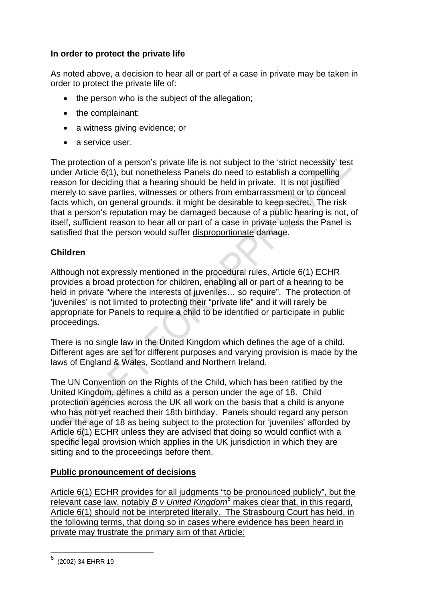# **In order to protect the private life**

As noted above, a decision to hear all or part of a case in private may be taken in order to protect the private life of:

- the person who is the subject of the allegation;
- the complainant;
- a witness giving evidence; or
- a service user.

The protection of a person's private life is not subject to the 'strict necessity' test under Article 6(1), but nonetheless Panels do need to establish a compelling reason for deciding that a hearing should be held in private. It is not justified merely to save parties, witnesses or others from embarrassment or to conceal facts which, on general grounds, it might be desirable to keep secret. The risk that a person's reputation may be damaged because of a public hearing is not, of itself, sufficient reason to hear all or part of a case in private unless the Panel is satisfied that the person would suffer disproportionate damage.

# **Children**

Although not expressly mentioned in the procedural rules, Article 6(1) ECHR provides a broad protection for children, enabling all or part of a hearing to be held in private "where the interests of juveniles… so require". The protection of 'juveniles' is not limited to protecting their "private life" and it will rarely be appropriate for Panels to require a child to be identified or participate in public proceedings.

There is no single law in the United Kingdom which defines the age of a child. Different ages are set for different purposes and varying provision is made by the laws of England & Wales, Scotland and Northern Ireland.

The UN Convention on the Rights of the Child, which has been ratified by the United Kingdom, defines a child as a person under the age of 18. Child protection agencies across the UK all work on the basis that a child is anyone who has not yet reached their 18th birthday. Panels should regard any person under the age of 18 as being subject to the protection for 'juveniles' afforded by Article 6(1) ECHR unless they are advised that doing so would conflict with a specific legal provision which applies in the UK jurisdiction in which they are sitting and to the proceedings before them.

# **Public pronouncement of decisions**

Article 6(1) ECHR provides for all judgments "to be pronounced publicly", but the relevant case law, notably *B v United Kingdom*<sup>6</sup> makes clear that, in this regard, Article 6(1) should not be interpreted literally. The Strasbourg Court has held, in the following terms, that doing so in cases where evidence has been heard in private may frustrate the primary aim of that Article:

 6 (2002) 34 EHRR 19